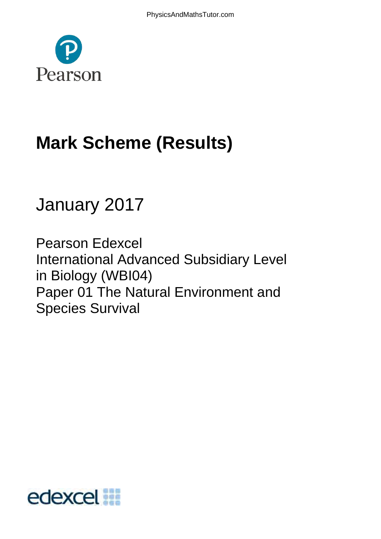

# **Mark Scheme (Results)**

# January 2017

Pearson Edexcel International Advanced Subsidiary Level in Biology (WBI04) Paper 01 The Natural Environment and Species Survival

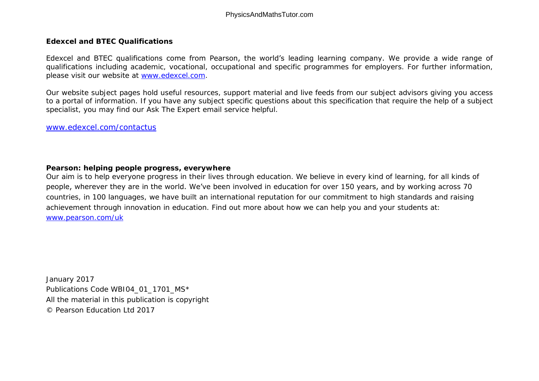**Edexcel and BTEC Qualifications** 

Edexcel and BTEC qualifications come from Pearson, the world's leading learning company. We provide a wide range of qualifications including academic, vocational, occupational and specific programmes for employers. For further information, please visit our website at [www.edexcel.com.](http://www.edexcel.com/)

Our website subject pages hold useful resources, support material and live feeds from our subject advisors giving you access to a portal of information. If you have any subject specific questions about this specification that require the help of a subject specialist, you may find our Ask The Expert email service helpful.

[www.edexcel.com/contactus](http://www.edexcel.com/contactus)

**Pearson: helping people progress, everywhere** 

Our aim is to help everyone progress in their lives through education. We believe in every kind of learning, for all kinds of people, wherever they are in the world. We've been involved in education for over 150 years, and by working across 70 countries, in 100 languages, we have built an international reputation for our commitment to high standards and raising achievement through innovation in education. Find out more about how we can help you and your students at: [www.pearson.com/uk](http://www.pearson.com/uk)

January 2017 Publications Code WBI04\_01\_1701\_MS\* All the material in this publication is copyright © Pearson Education Ltd 2017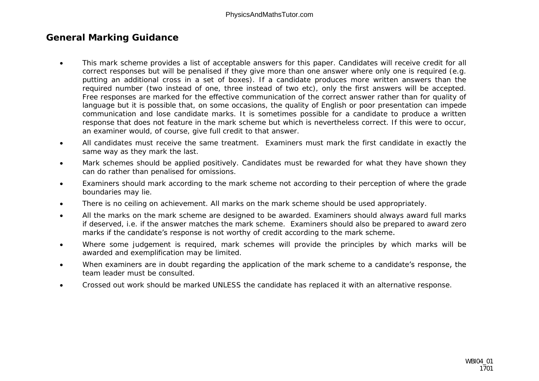# **General Marking Guidance**

- This mark scheme provides a list of acceptable answers for this paper. Candidates will receive credit for all correct responses but will be penalised if they give more than one answer where only one is required (e.g. putting an additional cross in a set of boxes). If a candidate produces more written answers than the required number (two instead of one, three instead of two etc), only the first answers will be accepted. Free responses are marked for the effective communication of the correct answer rather than for quality of language but it is possible that, on some occasions, the quality of English or poor presentation can impede communication and lose candidate marks. It is sometimes possible for a candidate to produce a written response that does not feature in the mark scheme but which is nevertheless correct. If this were to occur, an examiner would, of course, give full credit to that answer.
- All candidates must receive the same treatment. Examiners must mark the first candidate in exactly the same way as they mark the last.
- Mark schemes should be applied positively. Candidates must be rewarded for what they have shown they can do rather than penalised for omissions.
- Examiners should mark according to the mark scheme not according to their perception of where the grade boundaries may lie.
- There is no ceiling on achievement. All marks on the mark scheme should be used appropriately.
- All the marks on the mark scheme are designed to be awarded. Examiners should always award full marks if deserved, i.e. if the answer matches the mark scheme. Examiners should also be prepared to award zero marks if the candidate's response is not worthy of credit according to the mark scheme.
- Where some judgement is required, mark schemes will provide the principles by which marks will be awarded and exemplification may be limited.
- When examiners are in doubt regarding the application of the mark scheme to a candidate's response, the team leader must be consulted.
- Crossed out work should be marked UNLESS the candidate has replaced it with an alternative response.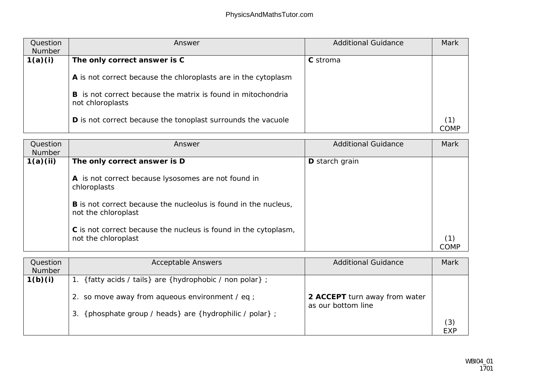| Question<br>Number | Answer                                                                           | <b>Additional Guidance</b> | Mark |
|--------------------|----------------------------------------------------------------------------------|----------------------------|------|
| 1(a)(i)            | The only correct answer is C                                                     | C stroma                   |      |
|                    | A is not correct because the chloroplasts are in the cytoplasm                   |                            |      |
|                    | B is not correct because the matrix is found in mitochondria<br>not chloroplasts |                            |      |
|                    | D is not correct because the tonoplast surrounds the vacuole                     |                            | COME |

| Question<br>Number | Answer                                                                                 | <b>Additional Guidance</b> | Mark |
|--------------------|----------------------------------------------------------------------------------------|----------------------------|------|
| 1(a)(ii)           | The only correct answer is D                                                           | D starch grain             |      |
|                    | A is not correct because lysosomes are not found in<br>chloroplasts                    |                            |      |
|                    | B is not correct because the nucleolus is found in the nucleus,<br>not the chloroplast |                            |      |
|                    | C is not correct because the nucleus is found in the cytoplasm,<br>not the chloroplast |                            |      |

| Question<br>Number | <b>Acceptable Answers</b>                                | <b>Additional Guidance</b>                          | Mark |
|--------------------|----------------------------------------------------------|-----------------------------------------------------|------|
| 1(b)(i)            | 1. {fatty acids / tails} are {hydrophobic / non polar};  |                                                     |      |
|                    | 2. so move away from aqueous environment / eq ;          | 2 ACCEPT turn away from water<br>as our bottom line |      |
|                    | 3. {phosphate group / heads} are {hydrophilic / polar} ; |                                                     | (3)  |
|                    |                                                          |                                                     | EXP  |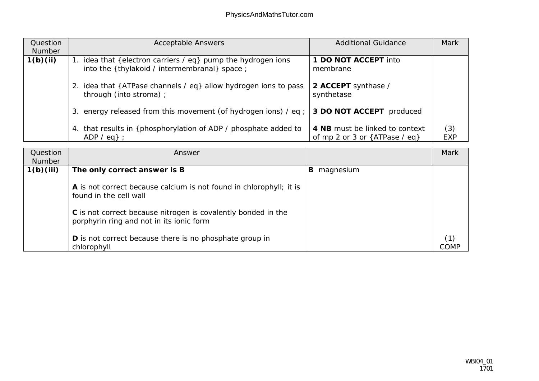| Question<br>Number | <b>Acceptable Answers</b>                                                                                     | <b>Additional Guidance</b>                                        | Mark              |
|--------------------|---------------------------------------------------------------------------------------------------------------|-------------------------------------------------------------------|-------------------|
| 1(b)(ii)           | 1. idea that {electron carriers / eq} pump the hydrogen ions<br>into the {thylakoid / intermembranal} space ; | 1 DO NOT ACCEPT into<br>membrane                                  |                   |
|                    | 2. idea that {ATPase channels / eq} allow hydrogen ions to pass<br>through (into stroma) ;                    | 2 ACCEPT synthase /<br>synthetase                                 |                   |
|                    | 3. energy released from this movement (of hydrogen ions) / eq ;                                               | 3 DO NOT ACCEPT produced                                          |                   |
|                    | 4. that results in { phosphorylation of ADP / phosphate added to<br>$ADP / eq$ :                              | 4 NB must be linked to context<br>of mp 2 or 3 or ${ATPase / eq}$ | (3)<br><b>EXP</b> |

| Question<br>Number | Answer                                                                                                    |                | Mark |
|--------------------|-----------------------------------------------------------------------------------------------------------|----------------|------|
| 1(b)(iii)          | The only correct answer is B                                                                              | magnesium<br>B |      |
|                    | A is not correct because calcium is not found in chlorophyll; it is<br>found in the cell wall             |                |      |
|                    | C is not correct because nitrogen is covalently bonded in the<br>porphyrin ring and not in its ionic form |                |      |
|                    | D is not correct because there is no phosphate group in<br>chlorophyll                                    |                | COME |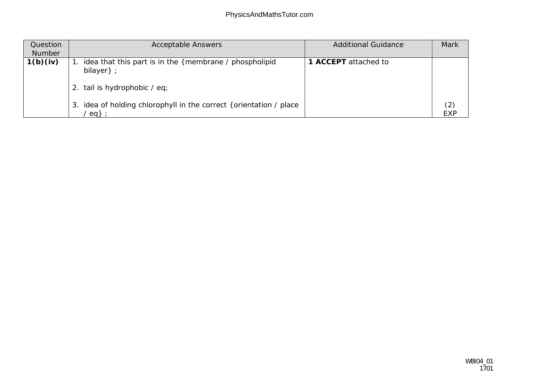| Question<br>Number | <b>Acceptable Answers</b>                                                                           | <b>Additional Guidance</b> | Mark              |
|--------------------|-----------------------------------------------------------------------------------------------------|----------------------------|-------------------|
| 1(b)(iv)           | idea that this part is in the {membrane / phospholipid<br>bilayer};<br>2. tail is hydrophobic / eq; | ACCEPT attached to         |                   |
|                    | idea of holding chlorophyll in the correct { orientation / place<br>3.<br>eq                        |                            | (2)<br><b>EXP</b> |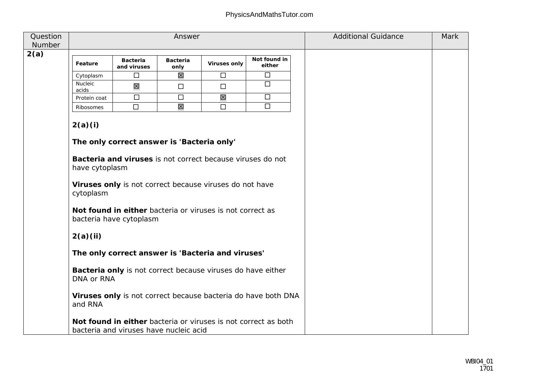| Question<br>Number | Answer                                                                      |                                                                                                                                                                                                                                                                                                                                                                                                                           |                  |              |                                                                                                                                 | <b>Additional Guidance</b> | Mark |
|--------------------|-----------------------------------------------------------------------------|---------------------------------------------------------------------------------------------------------------------------------------------------------------------------------------------------------------------------------------------------------------------------------------------------------------------------------------------------------------------------------------------------------------------------|------------------|--------------|---------------------------------------------------------------------------------------------------------------------------------|----------------------------|------|
| 2(a)               |                                                                             |                                                                                                                                                                                                                                                                                                                                                                                                                           |                  |              |                                                                                                                                 |                            |      |
|                    | Feature                                                                     | Bacteria<br>and viruses                                                                                                                                                                                                                                                                                                                                                                                                   | Bacteria<br>only | Viruses only | Not found in<br>either                                                                                                          |                            |      |
|                    | Cytoplasm                                                                   | $\Box$                                                                                                                                                                                                                                                                                                                                                                                                                    | 区                | $\Box$       | $\Box$                                                                                                                          |                            |      |
|                    | Nucleic<br>acids                                                            | 区                                                                                                                                                                                                                                                                                                                                                                                                                         | $\Box$           | $\Box$       | $\Box$                                                                                                                          |                            |      |
|                    | Protein coat                                                                | $\Box$                                                                                                                                                                                                                                                                                                                                                                                                                    | $\Box$           | 冈            | $\Box$                                                                                                                          |                            |      |
|                    | Ribosomes                                                                   | $\Box$                                                                                                                                                                                                                                                                                                                                                                                                                    | 冈                | $\Box$       | $\overline{\Box}$                                                                                                               |                            |      |
|                    | 2(a)(i)<br>have cytoplasm<br>cytoplasm<br>2(a)(ii)<br>DNA or RNA<br>and RNA | The only correct answer is 'Bacteria only'<br>Bacteria and viruses is not correct because viruses do not<br>Viruses only is not correct because viruses do not have<br>Not found in either bacteria or viruses is not correct as<br>bacteria have cytoplasm<br>The only correct answer is 'Bacteria and viruses'<br>Bacteria only is not correct because viruses do have either<br>bacteria and viruses have nucleic acid |                  |              | Viruses only is not correct because bacteria do have both DNA<br>Not found in either bacteria or viruses is not correct as both |                            |      |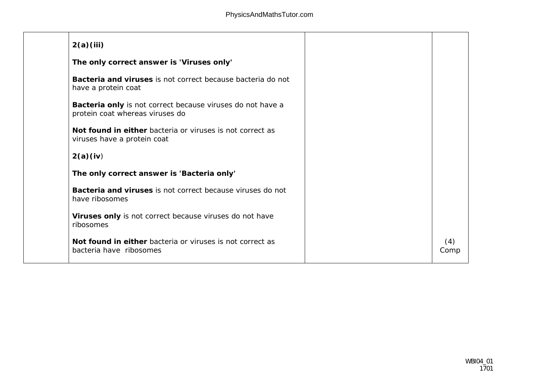| 2(a)(iii)                                                                                     |             |
|-----------------------------------------------------------------------------------------------|-------------|
| The only correct answer is 'Viruses only'                                                     |             |
| Bacteria and viruses is not correct because bacteria do not<br>have a protein coat            |             |
| Bacteria only is not correct because viruses do not have a<br>protein coat whereas viruses do |             |
| Not found in either bacteria or viruses is not correct as<br>viruses have a protein coat      |             |
| 2(a)(iv)                                                                                      |             |
| The only correct answer is 'Bacteria only'                                                    |             |
| Bacteria and viruses is not correct because viruses do not<br>have ribosomes                  |             |
| Viruses only is not correct because viruses do not have<br>ribosomes                          |             |
| Not found in either bacteria or viruses is not correct as<br>bacteria have ribosomes          | (4)<br>Comp |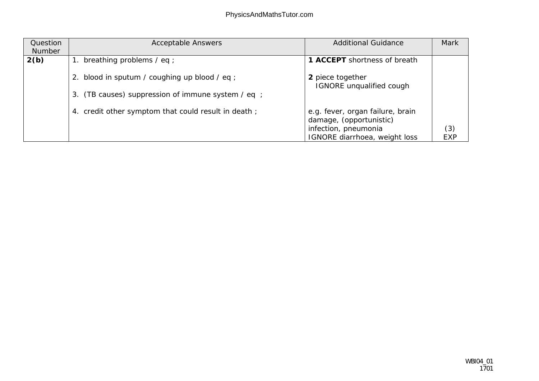| Question | <b>Acceptable Answers</b>                           | <b>Additional Guidance</b>                                  | Mark |
|----------|-----------------------------------------------------|-------------------------------------------------------------|------|
| Number   |                                                     |                                                             |      |
| 2(b)     | breathing problems / eq ;                           | 1 ACCEPT shortness of breath                                |      |
|          | 2. blood in sputum / coughing up blood / eq ;       | 2 piece together<br><b>IGNORE</b> unqualified cough         |      |
|          | 3. (TB causes) suppression of immune system / eq ;  |                                                             |      |
|          | 4. credit other symptom that could result in death; | e.g. fever, organ failure, brain<br>damage, (opportunistic) |      |
|          |                                                     | infection, pneumonia                                        | (3)  |
|          |                                                     | <b>IGNORE</b> diarrhoea, weight loss                        | EXP  |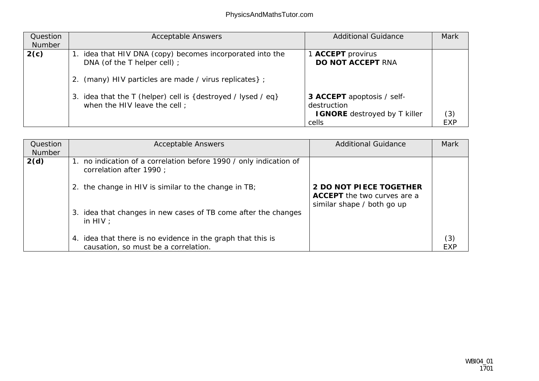| Question<br>Number | <b>Acceptable Answers</b>                                                                                                                          | <b>Additional Guidance</b>                                                          | Mark       |
|--------------------|----------------------------------------------------------------------------------------------------------------------------------------------------|-------------------------------------------------------------------------------------|------------|
| 2(c)               | 1. idea that HIV DNA (copy) becomes incorporated into the<br>DNA (of the T helper cell) ;<br>2. (many) HIV particles are made / virus replicates}; | 1 ACCEPT provirus<br>DO NOT ACCEPT RNA                                              |            |
|                    | 3. idea that the T (helper) cell is {destroyed / lysed / eq}<br>when the HIV leave the cell;                                                       | 3 ACCEPT apoptosis / self-<br>destruction<br>I GNORE destroyed by T killer<br>cells | (3)<br>FXP |

| Question<br>Number | <b>Acceptable Answers</b>                                                                           | <b>Additional Guidance</b>                                                           | Mark       |
|--------------------|-----------------------------------------------------------------------------------------------------|--------------------------------------------------------------------------------------|------------|
| 2(d)               | 1. no indication of a correlation before 1990 / only indication of<br>correlation after 1990 ;      |                                                                                      |            |
|                    | 2. the change in HIV is similar to the change in TB;                                                | 2 DO NOT PIECE TOGETHER<br>ACCEPT the two curves are a<br>similar shape / both go up |            |
|                    | idea that changes in new cases of TB come after the changes<br>3.<br>in $HIV:$                      |                                                                                      |            |
|                    | 4. idea that there is no evidence in the graph that this is<br>causation, so must be a correlation. |                                                                                      | (3)<br>FXF |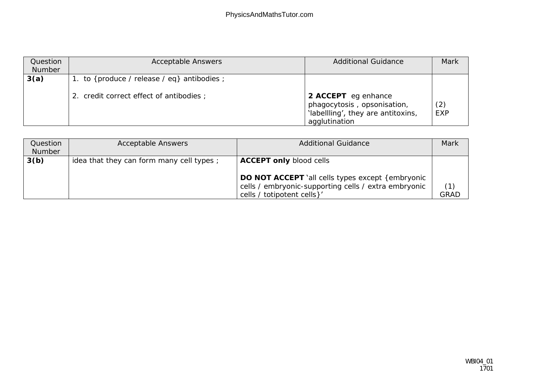| Question<br>Number | <b>Acceptable Answers</b>                                                              | <b>Additional Guidance</b>                                                         | Mark       |
|--------------------|----------------------------------------------------------------------------------------|------------------------------------------------------------------------------------|------------|
| 3(a)               | 1. to {produce / release / eq} antibodies ;<br>2. credit correct effect of antibodies; | 2 ACCEPT eg enhance                                                                |            |
|                    |                                                                                        | phagocytosis, opsonisation,<br>'labellling', they are antitoxins,<br>agglutination | (2)<br>EXP |

| Question<br>Number | <b>Acceptable Answers</b>                | <b>Additional Guidance</b>                                                         | Mark               |
|--------------------|------------------------------------------|------------------------------------------------------------------------------------|--------------------|
| 3(b)               | idea that they can form many cell types; | ACCEPT only blood cells<br>DO NOT ACCEPT 'all cells types except { embryonic       |                    |
|                    |                                          | cells / embryonic-supporting cells / extra embryonic<br>cells / totipotent cells}' | (1)<br><b>GRAD</b> |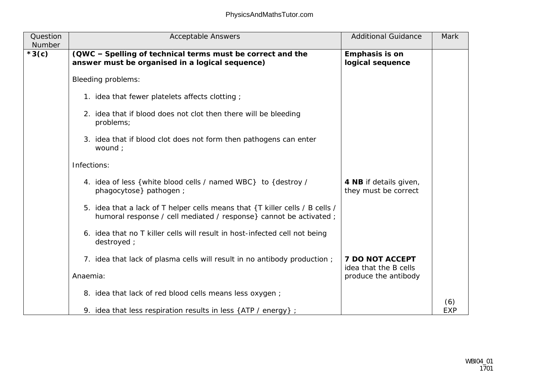| Question<br>Number | <b>Acceptable Answers</b>                                                                                                                          | <b>Additional Guidance</b>                     | Mark              |
|--------------------|----------------------------------------------------------------------------------------------------------------------------------------------------|------------------------------------------------|-------------------|
| $*3(c)$            | (QWC - Spelling of technical terms must be correct and the<br>answer must be organised in a logical sequence)                                      | Emphasis is on<br>logical sequence             |                   |
|                    | Bleeding problems:                                                                                                                                 |                                                |                   |
|                    | 1. idea that fewer platelets affects clotting;                                                                                                     |                                                |                   |
|                    | 2. idea that if blood does not clot then there will be bleeding<br>problems;                                                                       |                                                |                   |
|                    | 3. idea that if blood clot does not form then pathogens can enter<br>wound ;                                                                       |                                                |                   |
|                    | Infections:                                                                                                                                        |                                                |                   |
|                    | 4. idea of less { white blood cells / named WBC} to { destroy /<br>phagocytose} pathogen ;                                                         | 4 NB if details given,<br>they must be correct |                   |
|                    | 5. idea that a lack of T helper cells means that {T killer cells / B cells /<br>humoral response / cell mediated / response} cannot be activated ; |                                                |                   |
|                    | 6. idea that no T killer cells will result in host-infected cell not being<br>destroyed;                                                           |                                                |                   |
|                    | 7. idea that lack of plasma cells will result in no antibody production;                                                                           | 7 DO NOT ACCEPT<br>idea that the B cells       |                   |
|                    | Anaemia:                                                                                                                                           | produce the antibody                           |                   |
|                    | 8. idea that lack of red blood cells means less oxygen;                                                                                            |                                                |                   |
|                    | 9. idea that less respiration results in less {ATP / energy} ;                                                                                     |                                                | (6)<br><b>EXP</b> |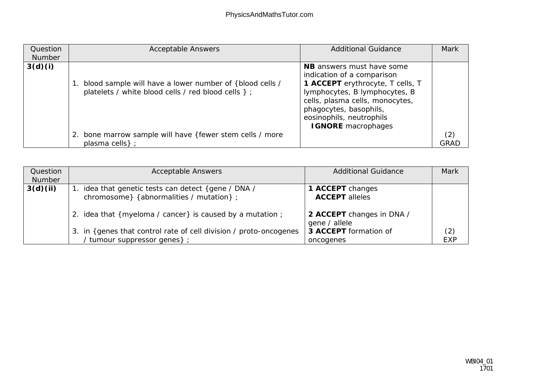| Question | <b>Acceptable Answers</b>                                  | <b>Additional Guidance</b>       | Mark        |
|----------|------------------------------------------------------------|----------------------------------|-------------|
| Number   |                                                            |                                  |             |
| 3(d)(i)  |                                                            | NB answers must have some        |             |
|          |                                                            | indication of a comparison       |             |
|          | 1. blood sample will have a lower number of {blood cells / | 1 ACCEPT erythrocyte, T cells, T |             |
|          | platelets / white blood cells / red blood cells } ;        | lymphocytes, B lymphocytes, B    |             |
|          |                                                            | cells, plasma cells, monocytes,  |             |
|          |                                                            | phagocytes, basophils,           |             |
|          |                                                            |                                  |             |
|          |                                                            | eosinophils, neutrophils         |             |
|          |                                                            | I GNORE macrophages              |             |
|          | 2. bone marrow sample will have { fewer stem cells / more  |                                  | (2)         |
|          | plasma cells };                                            |                                  | <b>GRAD</b> |

| Question | <b>Acceptable Answers</b>                                                                       | <b>Additional Guidance</b>                 | Mark       |
|----------|-------------------------------------------------------------------------------------------------|--------------------------------------------|------------|
| Number   |                                                                                                 |                                            |            |
| 3(d)(ii) | 1. idea that genetic tests can detect {gene / DNA /<br>chromosome} {abnormalities / mutation} ; | 1 ACCEPT changes<br><b>ACCEPT</b> alleles  |            |
|          | 2. idea that {myeloma / cancer} is caused by a mutation ;                                       | 2 ACCEPT changes in DNA /<br>gene / allele |            |
|          | 3. in {genes that control rate of cell division / proto-oncogenes                               | 3 ACCEPT formation of                      | (2)        |
|          | / tumour suppressor genes};                                                                     | oncogenes                                  | <b>EXP</b> |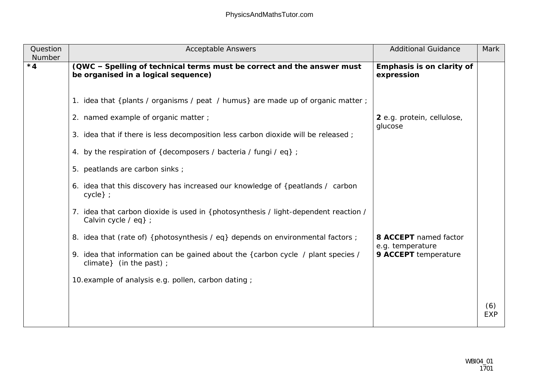| Question<br>Number | <b>Acceptable Answers</b>                                                                                     | <b>Additional Guidance</b>                | Mark              |
|--------------------|---------------------------------------------------------------------------------------------------------------|-------------------------------------------|-------------------|
| $*4$               | (QWC - Spelling of technical terms must be correct and the answer must<br>be organised in a logical sequence) | Emphasis is on clarity of<br>expression   |                   |
|                    | 1. idea that {plants / organisms / peat / humus} are made up of organic matter ;                              |                                           |                   |
|                    | 2. named example of organic matter;                                                                           | 2 e.g. protein, cellulose,<br>glucose     |                   |
|                    | 3. idea that if there is less decomposition less carbon dioxide will be released;                             |                                           |                   |
|                    | 4. by the respiration of {decomposers / bacteria / fungi / eq} ;                                              |                                           |                   |
|                    | 5. peatlands are carbon sinks;                                                                                |                                           |                   |
|                    | 6. idea that this discovery has increased our knowledge of {peatlands / carbon<br>$cycle\}$ ;                 |                                           |                   |
|                    | 7. idea that carbon dioxide is used in {photosynthesis / light-dependent reaction /<br>Calvin cycle / eq} ;   |                                           |                   |
|                    | 8. idea that (rate of) { photosynthesis / eq} depends on environmental factors ;                              | 8 ACCEPT named factor<br>e.g. temperature |                   |
|                    | 9. idea that information can be gained about the {carbon cycle / plant species /<br>climate} (in the past) ;  | 9 ACCEPT temperature                      |                   |
|                    | 10. example of analysis e.g. pollen, carbon dating;                                                           |                                           |                   |
|                    |                                                                                                               |                                           | (6)<br><b>EXP</b> |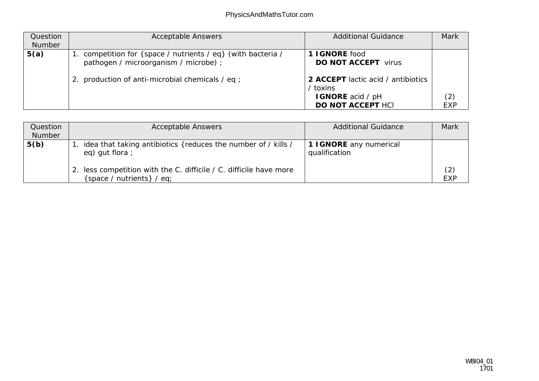| Question<br>Number | <b>Acceptable Answers</b>                                                                                                                                  | <b>Additional Guidance</b>                                                                                                        | Mark              |
|--------------------|------------------------------------------------------------------------------------------------------------------------------------------------------------|-----------------------------------------------------------------------------------------------------------------------------------|-------------------|
| 5(a)               | 1. competition for { space / nutrients / eq} (with bacteria /<br>pathogen / microorganism / microbe) ;<br>2. production of anti-microbial chemicals / eq ; | 1 I GNORE food<br>DO NOT ACCEPT virus<br>2 ACCEPT lactic acid / antibiotics<br>/ toxins<br>I GNORE acid / pH<br>DO NOT ACCEPT HCI | (2)<br><b>EXP</b> |

| Question<br>Number | <b>Acceptable Answers</b>                                                                       | <b>Additional Guidance</b>               | Mark              |
|--------------------|-------------------------------------------------------------------------------------------------|------------------------------------------|-------------------|
| 5(b)               | idea that taking antibiotics {reduces the number of / kills /<br>eq) gut flora;                 | 1 I GNORE any numerical<br>qualification |                   |
|                    | 2. less competition with the C. difficile / C. difficile have more<br>space / nutrients } / eq; |                                          | (2)<br><b>EXP</b> |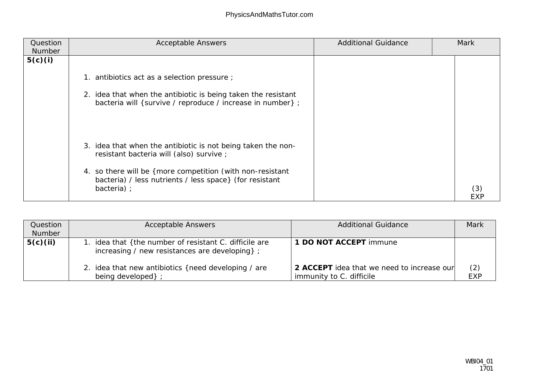| Question<br>Number | <b>Acceptable Answers</b>                                                                                                            | <b>Additional Guidance</b> | Mark |
|--------------------|--------------------------------------------------------------------------------------------------------------------------------------|----------------------------|------|
| 5(c)(i)            |                                                                                                                                      |                            |      |
|                    | 1. antibiotics act as a selection pressure;                                                                                          |                            |      |
|                    | 2. idea that when the antibiotic is being taken the resistant<br>bacteria will { survive / reproduce / increase in number} ;         |                            |      |
|                    | 3. idea that when the antibiotic is not being taken the non-<br>resistant bacteria will (also) survive;                              |                            |      |
|                    | 4. so there will be { more competition (with non-resistant<br>bacteria) / less nutrients / less space} (for resistant<br>bacteria) ; |                            |      |

| Question<br>Number | <b>Acceptable Answers</b>                                                                               | <b>Additional Guidance</b>                                             | Mark |
|--------------------|---------------------------------------------------------------------------------------------------------|------------------------------------------------------------------------|------|
| 5(c)(ii)           | 1. idea that {the number of resistant C. difficile are<br>increasing / new resistances are developing}; | 1 DO NOT ACCEPT immune                                                 |      |
|                    | 2. idea that new antibiotics { need developing / are<br>being developed };                              | 2 ACCEPT idea that we need to increase our<br>immunity to C. difficile | (2)  |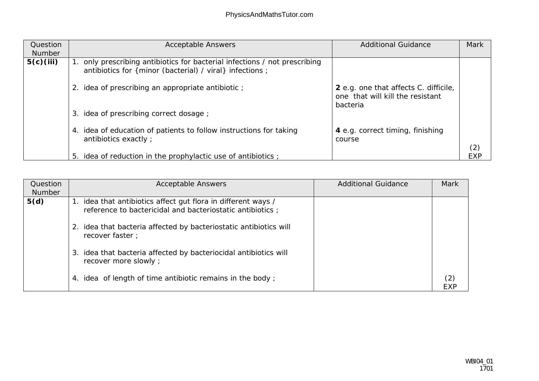| Question<br>Number | <b>Acceptable Answers</b>                                                                                                            | <b>Additional Guidance</b>                                                            | Mark |
|--------------------|--------------------------------------------------------------------------------------------------------------------------------------|---------------------------------------------------------------------------------------|------|
| 5(c)(iii)          | only prescribing antibiotics for bacterial infections / not prescribing<br>antibiotics for { minor (bacterial) / viral} infections ; |                                                                                       |      |
|                    | idea of prescribing an appropriate antibiotic;<br>2.                                                                                 | 2 e.g. one that affects C. difficile,<br>one that will kill the resistant<br>bacteria |      |
|                    | idea of prescribing correct dosage;<br>3.                                                                                            |                                                                                       |      |
|                    | 4. idea of education of patients to follow instructions for taking<br>antibiotics exactly ;                                          | 4 e.g. correct timing, finishing<br>course                                            | (2)  |
|                    | 5. idea of reduction in the prophylactic use of antibiotics;                                                                         |                                                                                       | EXP  |

| Question<br>Number | <b>Acceptable Answers</b>                                                                                                   | <b>Additional Guidance</b> | Mark |
|--------------------|-----------------------------------------------------------------------------------------------------------------------------|----------------------------|------|
| 5(d)               | 1. idea that antibiotics affect gut flora in different ways /<br>reference to bactericidal and bacteriostatic antibiotics ; |                            |      |
|                    | idea that bacteria affected by bacteriostatic antibiotics will<br>recover faster;                                           |                            |      |
|                    | idea that bacteria affected by bacteriocidal antibiotics will<br>3.<br>recover more slowly;                                 |                            |      |
|                    | idea of length of time antibiotic remains in the body;<br>4.                                                                |                            | FXF  |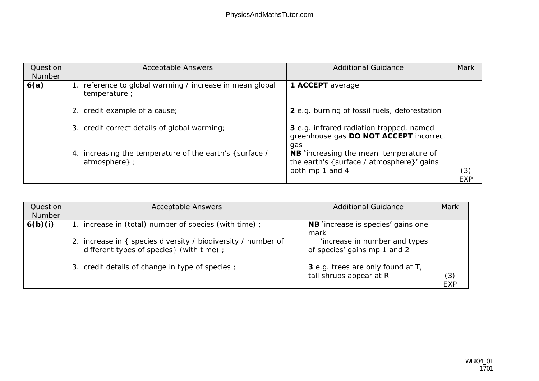| Question<br>Number | <b>Acceptable Answers</b>                                                | <b>Additional Guidance</b>                                                                                    | Mark              |
|--------------------|--------------------------------------------------------------------------|---------------------------------------------------------------------------------------------------------------|-------------------|
| 6(a)               | 1. reference to global warming / increase in mean global<br>temperature; | 1 ACCEPT average                                                                                              |                   |
|                    | 2. credit example of a cause;                                            | 2 e.g. burning of fossil fuels, deforestation                                                                 |                   |
|                    | 3. credit correct details of global warming;                             | 3 e.g. infrared radiation trapped, named<br>greenhouse gas DO NOT ACCEPT incorrect<br>gas                     |                   |
|                    | 4. increasing the temperature of the earth's {surface /<br>atmosphere }; | <b>NB</b> 'increasing the mean temperature of<br>the earth's {surface / atmosphere}' gains<br>both mp 1 and 4 | (3)<br><b>EXP</b> |

| Question<br>Number | <b>Acceptable Answers</b>                                                                                 | <b>Additional Guidance</b>                                    | Mark              |
|--------------------|-----------------------------------------------------------------------------------------------------------|---------------------------------------------------------------|-------------------|
| 6(b)(i)            | 1. increase in (total) number of species (with time);                                                     | NB 'increase is species' gains one                            |                   |
|                    |                                                                                                           | mark                                                          |                   |
|                    | 2. increase in { species diversity / biodiversity / number of<br>different types of species} (with time); | 'increase in number and types<br>of species' gains mp 1 and 2 |                   |
|                    | 3. credit details of change in type of species;                                                           | 3 e.g. trees are only found at T,<br>tall shrubs appear at R  | (3)<br><b>EXP</b> |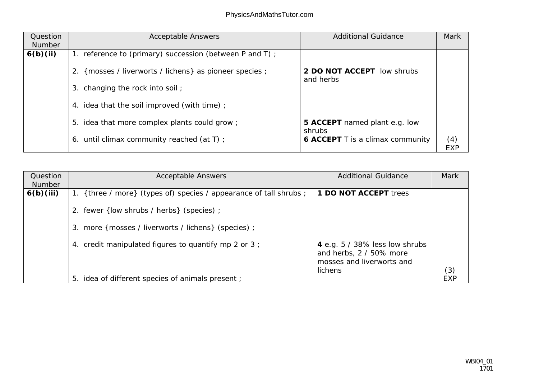| Question<br>Number | <b>Acceptable Answers</b>                                  | <b>Additional Guidance</b>              | Mark              |
|--------------------|------------------------------------------------------------|-----------------------------------------|-------------------|
| 6(b)(ii)           | 1. reference to (primary) succession (between P and T) ;   |                                         |                   |
|                    | {mosses / liverworts / lichens} as pioneer species ;<br>2. | 2 DO NOT ACCEPT low shrubs<br>and herbs |                   |
|                    | 3. changing the rock into soil;                            |                                         |                   |
|                    | 4. idea that the soil improved (with time);                |                                         |                   |
|                    | 5. idea that more complex plants could grow;               | 5 ACCEPT named plant e.g. low<br>shrubs |                   |
|                    | 6. until climax community reached (at T) ;                 | 6 ACCEPT T is a climax community        | (4)<br><b>EXP</b> |

| Question<br>Number | <b>Acceptable Answers</b>                                          | <b>Additional Guidance</b>                                                             | Mark       |
|--------------------|--------------------------------------------------------------------|----------------------------------------------------------------------------------------|------------|
| 6(b)(iii)          | 1. {three / more} (types of) species / appearance of tall shrubs ; | 1 DO NOT ACCEPT trees                                                                  |            |
|                    | 2. fewer {low shrubs / herbs} (species);                           |                                                                                        |            |
|                    | 3. more { mosses / liverworts / lichens} (species) ;               |                                                                                        |            |
|                    | 4. credit manipulated figures to quantify mp 2 or 3;               | 4 e.g. 5 / 38% less low shrubs<br>and herbs, 2 / 50% more<br>mosses and liverworts and |            |
|                    | 5. idea of different species of animals present;                   | lichens                                                                                | (3)<br>FXP |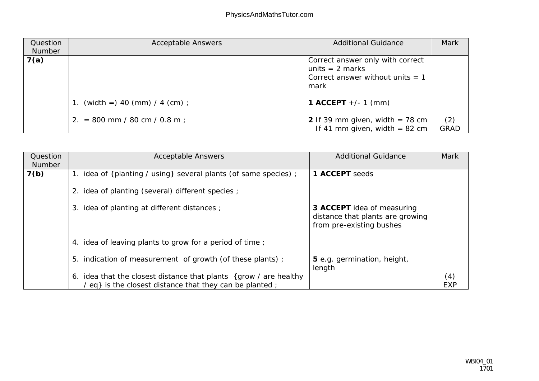| Question<br>Number | <b>Acceptable Answers</b>       | <b>Additional Guidance</b>                                                                          | Mark               |
|--------------------|---------------------------------|-----------------------------------------------------------------------------------------------------|--------------------|
| 7(a)               |                                 | Correct answer only with correct<br>units $= 2$ marks<br>Correct answer without units $= 1$<br>mark |                    |
|                    | 1. (width =) 40 (mm) / 4 (cm) ; | 1 ACCEPT $+/- 1$ (mm)                                                                               |                    |
|                    | 2. = 800 mm / 80 cm / 0.8 m;    | 2 If 39 mm given, width $= 78$ cm<br>If 41 mm given, width $= 82$ cm                                | (2)<br><b>GRAD</b> |

| Question<br>Number | <b>Acceptable Answers</b>                                                                                                            | <b>Additional Guidance</b>                                                                 | Mark       |
|--------------------|--------------------------------------------------------------------------------------------------------------------------------------|--------------------------------------------------------------------------------------------|------------|
| 7(b)               | 1. idea of {planting / using} several plants (of same species) ;                                                                     | 1 ACCEPT seeds                                                                             |            |
|                    | 2. idea of planting (several) different species ;                                                                                    |                                                                                            |            |
|                    | idea of planting at different distances;<br>3.                                                                                       | 3 ACCEPT idea of measuring<br>distance that plants are growing<br>from pre-existing bushes |            |
|                    | 4. idea of leaving plants to grow for a period of time;                                                                              |                                                                                            |            |
|                    | 5. indication of measurement of growth (of these plants);                                                                            | 5 e.g. germination, height,<br>length                                                      |            |
|                    | idea that the closest distance that plants {grow / are healthy<br>6.<br>$\ell$ eq} is the closest distance that they can be planted; |                                                                                            | (4)<br>EXP |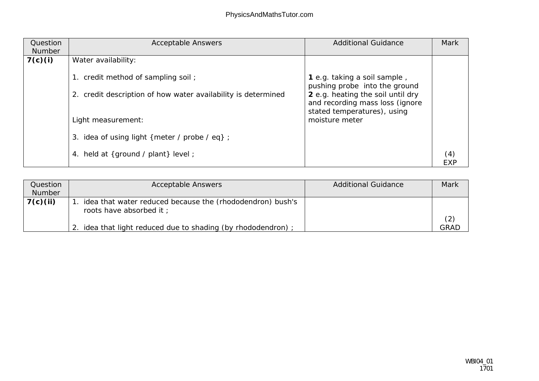| Question<br>Number | <b>Acceptable Answers</b>                                     | <b>Additional Guidance</b>                                                                          | Mark |
|--------------------|---------------------------------------------------------------|-----------------------------------------------------------------------------------------------------|------|
| 7(c)(i)            | Water availability:                                           |                                                                                                     |      |
|                    | 1. credit method of sampling soil;                            | 1 e.g. taking a soil sample,<br>pushing probe into the ground                                       |      |
|                    | 2. credit description of how water availability is determined | 2 e.g. heating the soil until dry<br>and recording mass loss (ignore<br>stated temperatures), using |      |
|                    | Light measurement:                                            | moisture meter                                                                                      |      |
|                    | 3. idea of using light { meter / probe / eq} ;                |                                                                                                     |      |
|                    | 4. held at {ground / plant} level ;                           |                                                                                                     | (4)  |

| Question<br>Number | <b>Acceptable Answers</b>                                                              | <b>Additional Guidance</b> | Mark |
|--------------------|----------------------------------------------------------------------------------------|----------------------------|------|
| 7(c)(ii)           | . idea that water reduced because the (rhododendron) bush's<br>roots have absorbed it; |                            |      |
|                    | idea that light reduced due to shading (by rhododendron);                              |                            | GRAL |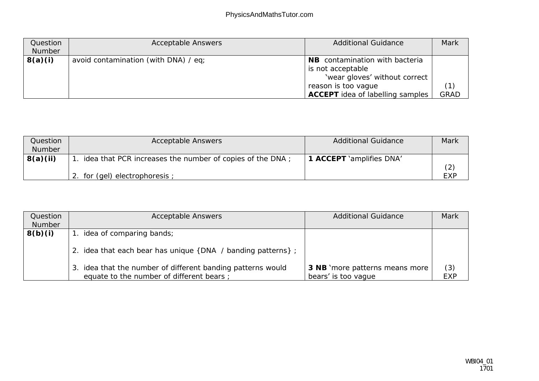| Question | <b>Acceptable Answers</b>            | <b>Additional Guidance</b>                                                           | Mark |
|----------|--------------------------------------|--------------------------------------------------------------------------------------|------|
| Number   |                                      |                                                                                      |      |
| 8(a)(i)  | avoid contamination (with DNA) / eq; | NB contamination with bacteria<br>is not acceptable<br>'wear gloves' without correct |      |
|          |                                      | reason is too vague<br>ACCEPT idea of labelling samples                              | GRAD |

| Question      | <b>Acceptable Answers</b>                                    | <b>Additional Guidance</b> | Mark       |
|---------------|--------------------------------------------------------------|----------------------------|------------|
| <b>Number</b> |                                                              |                            |            |
| 8(a)(ii)      | 1. idea that PCR increases the number of copies of the DNA ; | 1 ACCEPT 'amplifies DNA'   |            |
|               |                                                              |                            |            |
|               | 2. for (gel) electrophoresis;                                |                            | <b>EXP</b> |

| Question<br>Number | <b>Acceptable Answers</b>                                                                               | <b>Additional Guidance</b>                            | Mark              |
|--------------------|---------------------------------------------------------------------------------------------------------|-------------------------------------------------------|-------------------|
| 8(b)(i)            | 1. idea of comparing bands;<br>2. idea that each bear has unique {DNA / banding patterns};              |                                                       |                   |
|                    | 3. idea that the number of different banding patterns would<br>equate to the number of different bears; | 3 NB 'more patterns means more<br>bears' is too vague | (3)<br><b>EXP</b> |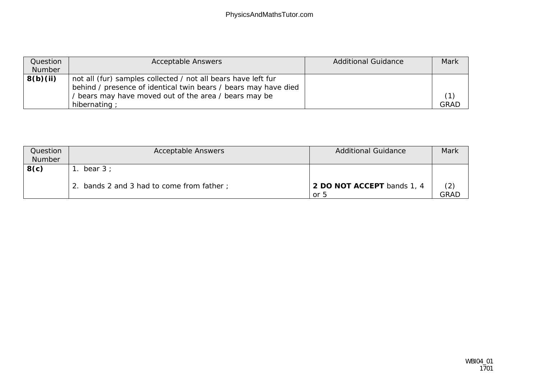| Question | <b>Acceptable Answers</b>                                       | <b>Additional Guidance</b> | Mark |
|----------|-----------------------------------------------------------------|----------------------------|------|
| Number   |                                                                 |                            |      |
| 8(b)(ii) | not all (fur) samples collected / not all bears have left fur   |                            |      |
|          | behind / presence of identical twin bears / bears may have died |                            |      |
|          | bears may have moved out of the area / bears may be             |                            |      |
|          | hibernating;                                                    |                            | GRAD |

| Question | <b>Acceptable Answers</b>              | <b>Additional Guidance</b>         | Mark               |
|----------|----------------------------------------|------------------------------------|--------------------|
| Number   |                                        |                                    |                    |
| 8(c)     | bear $3:$                              |                                    |                    |
|          | bands 2 and 3 had to come from father; | 2 DO NOT ACCEPT bands 1, 4<br>or 5 | (2)<br><b>GRAD</b> |